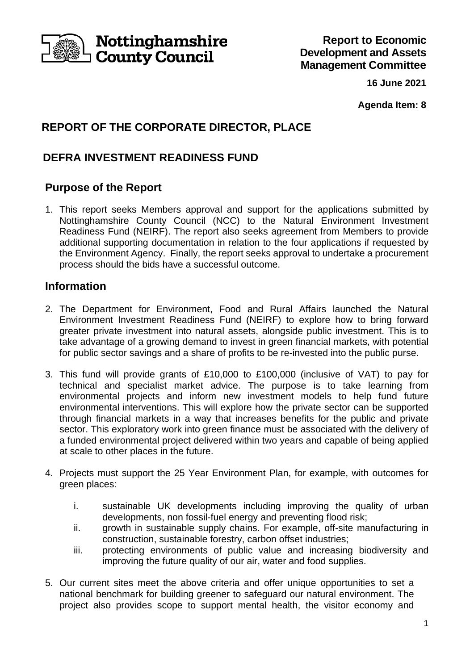

**Nottinghamshire County Council** 

**16 June 2021**

**Agenda Item: 8**

# **REPORT OF THE CORPORATE DIRECTOR, PLACE**

# **DEFRA INVESTMENT READINESS FUND**

# **Purpose of the Report**

1. This report seeks Members approval and support for the applications submitted by Nottinghamshire County Council (NCC) to the Natural Environment Investment Readiness Fund (NEIRF). The report also seeks agreement from Members to provide additional supporting documentation in relation to the four applications if requested by the Environment Agency. Finally, the report seeks approval to undertake a procurement process should the bids have a successful outcome.

# **Information**

- 2. The Department for Environment, Food and Rural Affairs launched the Natural Environment Investment Readiness Fund (NEIRF) to explore how to bring forward greater private investment into natural assets, alongside public investment. This is to take advantage of a growing demand to invest in green financial markets, with potential for public sector savings and a share of profits to be re-invested into the public purse.
- 3. This fund will provide grants of £10,000 to £100,000 (inclusive of VAT) to pay for technical and specialist market advice. The purpose is to take learning from environmental projects and inform new investment models to help fund future environmental interventions. This will explore how the private sector can be supported through financial markets in a way that increases benefits for the public and private sector. This exploratory work into green finance must be associated with the delivery of a funded environmental project delivered within two years and capable of being applied at scale to other places in the future.
- 4. Projects must support the 25 Year Environment Plan, for example, with outcomes for green places:
	- i. sustainable UK developments including improving the quality of urban developments, non fossil-fuel energy and preventing flood risk;
	- ii. growth in sustainable supply chains. For example, off-site manufacturing in construction, sustainable forestry, carbon offset industries;
	- iii. protecting environments of public value and increasing biodiversity and improving the future quality of our air, water and food supplies.
- 5. Our current sites meet the above criteria and offer unique opportunities to set a national benchmark for building greener to safeguard our natural environment. The project also provides scope to support mental health, the visitor economy and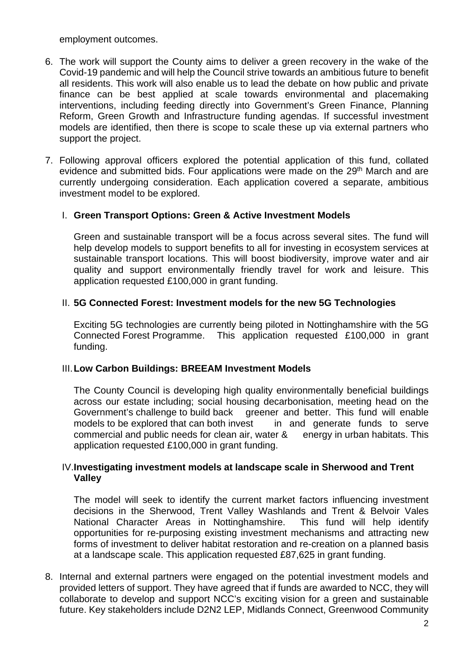employment outcomes.

- 6. The work will support the County aims to deliver a green recovery in the wake of the Covid-19 pandemic and will help the Council strive towards an ambitious future to benefit all residents. This work will also enable us to lead the debate on how public and private finance can be best applied at scale towards environmental and placemaking interventions, including feeding directly into Government's Green Finance, Planning Reform, Green Growth and Infrastructure funding agendas. If successful investment models are identified, then there is scope to scale these up via external partners who support the project.
- 7. Following approval officers explored the potential application of this fund, collated evidence and submitted bids. Four applications were made on the 29<sup>th</sup> March and are currently undergoing consideration. Each application covered a separate, ambitious investment model to be explored.

## I. **Green Transport Options: Green & Active Investment Models**

Green and sustainable transport will be a focus across several sites. The fund will help develop models to support benefits to all for investing in ecosystem services at sustainable transport locations. This will boost biodiversity, improve water and air quality and support environmentally friendly travel for work and leisure. This application requested £100,000 in grant funding.

## II. **5G Connected Forest: Investment models for the new 5G Technologies**

Exciting 5G technologies are currently being piloted in Nottinghamshire with the 5G Connected Forest Programme. This application requested £100,000 in grant funding.

#### III.**Low Carbon Buildings: BREEAM Investment Models**

The County Council is developing high quality environmentally beneficial buildings across our estate including; social housing decarbonisation, meeting head on the Government's challenge to build back greener and better. This fund will enable models to be explored that can both invest in and generate funds to serve commercial and public needs for clean air, water & energy in urban habitats. This application requested £100,000 in grant funding.

## IV.**Investigating investment models at landscape scale in Sherwood and Trent Valley**

The model will seek to identify the current market factors influencing investment decisions in the Sherwood, Trent Valley Washlands and Trent & Belvoir Vales National Character Areas in Nottinghamshire. This fund will help identify opportunities for re-purposing existing investment mechanisms and attracting new forms of investment to deliver habitat restoration and re-creation on a planned basis at a landscape scale. This application requested £87,625 in grant funding.

8. Internal and external partners were engaged on the potential investment models and provided letters of support. They have agreed that if funds are awarded to NCC, they will collaborate to develop and support NCC's exciting vision for a green and sustainable future. Key stakeholders include D2N2 LEP, Midlands Connect, Greenwood Community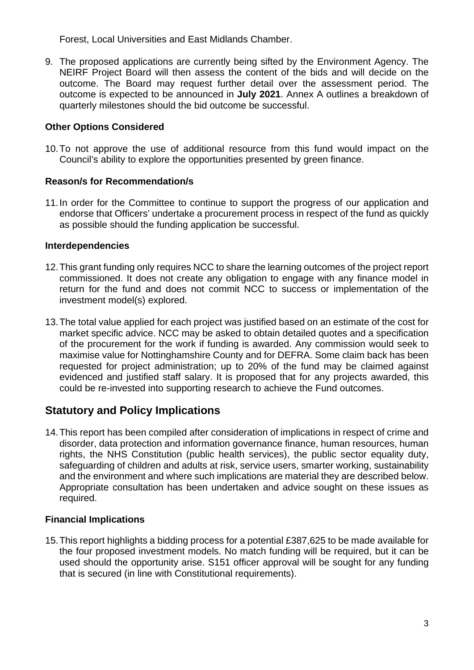Forest, Local Universities and East Midlands Chamber.

9. The proposed applications are currently being sifted by the Environment Agency. The NEIRF Project Board will then assess the content of the bids and will decide on the outcome. The Board may request further detail over the assessment period. The outcome is expected to be announced in **July 2021**. Annex A outlines a breakdown of quarterly milestones should the bid outcome be successful.

## **Other Options Considered**

10.To not approve the use of additional resource from this fund would impact on the Council's ability to explore the opportunities presented by green finance.

## **Reason/s for Recommendation/s**

11.In order for the Committee to continue to support the progress of our application and endorse that Officers' undertake a procurement process in respect of the fund as quickly as possible should the funding application be successful.

#### **Interdependencies**

- 12.This grant funding only requires NCC to share the learning outcomes of the project report commissioned. It does not create any obligation to engage with any finance model in return for the fund and does not commit NCC to success or implementation of the investment model(s) explored.
- 13.The total value applied for each project was justified based on an estimate of the cost for market specific advice. NCC may be asked to obtain detailed quotes and a specification of the procurement for the work if funding is awarded. Any commission would seek to maximise value for Nottinghamshire County and for DEFRA. Some claim back has been requested for project administration; up to 20% of the fund may be claimed against evidenced and justified staff salary. It is proposed that for any projects awarded, this could be re-invested into supporting research to achieve the Fund outcomes.

# **Statutory and Policy Implications**

14.This report has been compiled after consideration of implications in respect of crime and disorder, data protection and information governance finance, human resources, human rights, the NHS Constitution (public health services), the public sector equality duty, safeguarding of children and adults at risk, service users, smarter working, sustainability and the environment and where such implications are material they are described below. Appropriate consultation has been undertaken and advice sought on these issues as required.

#### **Financial Implications**

15.This report highlights a bidding process for a potential £387,625 to be made available for the four proposed investment models. No match funding will be required, but it can be used should the opportunity arise. S151 officer approval will be sought for any funding that is secured (in line with Constitutional requirements).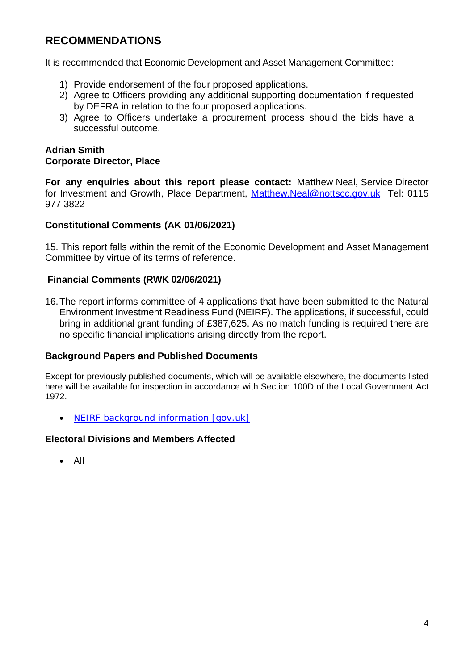# **RECOMMENDATIONS**

It is recommended that Economic Development and Asset Management Committee:

- 1) Provide endorsement of the four proposed applications.
- 2) Agree to Officers providing any additional supporting documentation if requested by DEFRA in relation to the four proposed applications.
- 3) Agree to Officers undertake a procurement process should the bids have a successful outcome.

#### **Adrian Smith Corporate Director, Place**

**For any enquiries about this report please contact:** Matthew Neal, Service Director for Investment and Growth, Place Department, [Matthew.Neal@nottscc.gov.uk](mailto:Matthew.Neal@nottscc.gov.uk) Tel: 0115 977 3822

#### **Constitutional Comments (AK 01/06/2021)**

15. This report falls within the remit of the Economic Development and Asset Management Committee by virtue of its terms of reference.

#### **Financial Comments (RWK 02/06/2021)**

16.The report informs committee of 4 applications that have been submitted to the Natural Environment Investment Readiness Fund (NEIRF). The applications, if successful, could bring in additional grant funding of £387,625. As no match funding is required there are no specific financial implications arising directly from the report.

#### **Background Papers and Published Documents**

Except for previously published documents, which will be available elsewhere, the documents listed here will be available for inspection in accordance with Section 100D of the Local Government Act 1972.

• [NEIRF background information \[gov.uk\]](https://www.gov.uk/government/publications/apply-for-a-grant-from-the-natural-environment-investment-readiness-fund/how-to-apply-for-a-natural-environment-investment-readiness-fund-grant)

#### **Electoral Divisions and Members Affected**

• All